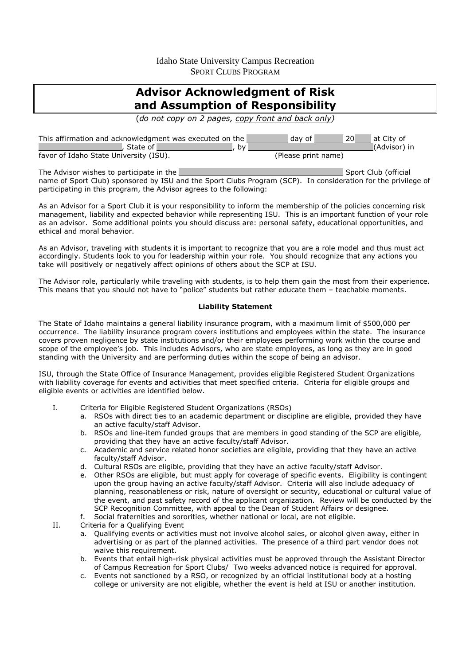Idaho State University Campus Recreation SPORT CLUBS PROGRAM

# **Advisor Acknowledgment of Risk and Assumption of Responsibility**

(*do not copy on 2 pages, copy front and back only)* 

| This affirmation and acknowledgment was executed on the | 20<br>at City of<br>  dav of |
|---------------------------------------------------------|------------------------------|
| , State of $\mathbb F$<br>bv                            | (Advisor) in                 |
| favor of Idaho State University (ISU).                  | (Please print name)          |
|                                                         |                              |

The Advisor wishes to participate in the Sport Club (official states) and Sport Club (official states) and Sport Club (official name of Sport Club) sponsored by ISU and the Sport Clubs Program (SCP). In consideration for the privilege of participating in this program, the Advisor agrees to the following:

As an Advisor for a Sport Club it is your responsibility to inform the membership of the policies concerning risk management, liability and expected behavior while representing ISU. This is an important function of your role as an advisor. Some additional points you should discuss are: personal safety, educational opportunities, and ethical and moral behavior.

As an Advisor, traveling with students it is important to recognize that you are a role model and thus must act accordingly. Students look to you for leadership within your role. You should recognize that any actions you take will positively or negatively affect opinions of others about the SCP at ISU.

The Advisor role, particularly while traveling with students, is to help them gain the most from their experience. This means that you should not have to "police" students but rather educate them – teachable moments.

#### **Liability Statement**

The State of Idaho maintains a general liability insurance program, with a maximum limit of \$500,000 per occurrence. The liability insurance program covers institutions and employees within the state. The insurance covers proven negligence by state institutions and/or their employees performing work within the course and scope of the employee's job. This includes Advisors, who are state employees, as long as they are in good standing with the University and are performing duties within the scope of being an advisor.

ISU, through the State Office of Insurance Management, provides eligible Registered Student Organizations with liability coverage for events and activities that meet specified criteria. Criteria for eligible groups and eligible events or activities are identified below.

- I. Criteria for Eligible Registered Student Organizations (RSOs)
	- a. RSOs with direct ties to an academic department or discipline are eligible, provided they have an active faculty/staff Advisor.
	- b. RSOs and line-item funded groups that are members in good standing of the SCP are eligible, providing that they have an active faculty/staff Advisor.
	- c. Academic and service related honor societies are eligible, providing that they have an active faculty/staff Advisor.
	- d. Cultural RSOs are eligible, providing that they have an active faculty/staff Advisor.
	- e. Other RSOs are eligible, but must apply for coverage of specific events. Eligibility is contingent upon the group having an active faculty/staff Advisor. Criteria will also include adequacy of planning, reasonableness or risk, nature of oversight or security, educational or cultural value of the event, and past safety record of the applicant organization. Review will be conducted by the SCP Recognition Committee, with appeal to the Dean of Student Affairs or designee.
	- f. Social fraternities and sororities, whether national or local, are not eligible.

II. Criteria for a Qualifying Event

- a. Qualifying events or activities must not involve alcohol sales, or alcohol given away, either in advertising or as part of the planned activities. The presence of a third part vendor does not waive this requirement.
- b. Events that entail high-risk physical activities must be approved through the Assistant Director of Campus Recreation for Sport Clubs/ Two weeks advanced notice is required for approval.
- c. Events not sanctioned by a RSO, or recognized by an official institutional body at a hosting college or university are not eligible, whether the event is held at ISU or another institution.